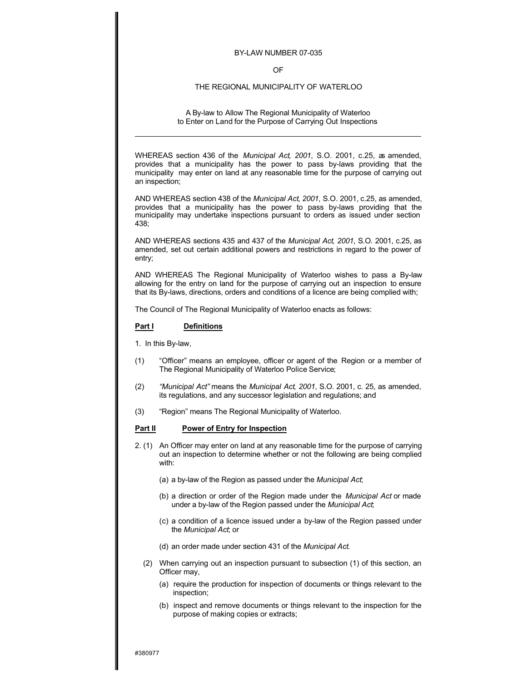#### BY-LAW NUMBER 07-035

### OF

### THE REGIONAL MUNICIPALITY OF WATERLOO

A By-law to Allow The Regional Municipality of Waterloo to Enter on Land for the Purpose of Carrying Out Inspections

WHEREAS section 436 of the *Municipal Act, 2001*, S.O. 2001, c.25, as amended, provides that a municipality has the power to pass by-laws providing that the municipality may enter on land at any reasonable time for the purpose of carrying out an inspection;

AND WHEREAS section 438 of the *Municipal Act, 2001*, S.O. 2001, c.25, as amended, provides that a municipality has the power to pass by-laws providing that the municipality may undertake inspections pursuant to orders as issued under section 438;

AND WHEREAS sections 435 and 437 of the *Municipal Act, 2001*, S.O. 2001, c.25, as amended, set out certain additional powers and restrictions in regard to the power of entry;

AND WHEREAS The Regional Municipality of Waterloo wishes to pass a By-law allowing for the entry on land for the purpose of carrying out an inspection to ensure that its By-laws, directions, orders and conditions of a licence are being complied with;

The Council of The Regional Municipality of Waterloo enacts as follows:

## **Part I Definitions**

1. In this By-law,

- (1) "Officer" means an employee, officer or agent of the Region or a member of The Regional Municipality of Waterloo Police Service;
- (2) *"Municipal Act"* means the *Municipal Act, 2001*, S.O. 2001, c. 25, as amended, its regulations, and any successor legislation and regulations; and
- (3) "Region" means The Regional Municipality of Waterloo.

# **Part II Power of Entry for Inspection**

- 2. (1) An Officer may enter on land at any reasonable time for the purpose of carrying out an inspection to determine whether or not the following are being complied with:
	- (a) a by-law of the Region as passed under the *Municipal Act*;
	- (b) a direction or order of the Region made under the *Municipal Act* or made under a by-law of the Region passed under the *Municipal Act*;
	- (c) a condition of a licence issued under a by-law of the Region passed under the *Municipal Act*; or
	- (d) an order made under section 431 of the *Municipal Act*.
	- (2) When carrying out an inspection pursuant to subsection (1) of this section, an Officer may,
		- (a) require the production for inspection of documents or things relevant to the inspection;
		- (b) inspect and remove documents or things relevant to the inspection for the purpose of making copies or extracts;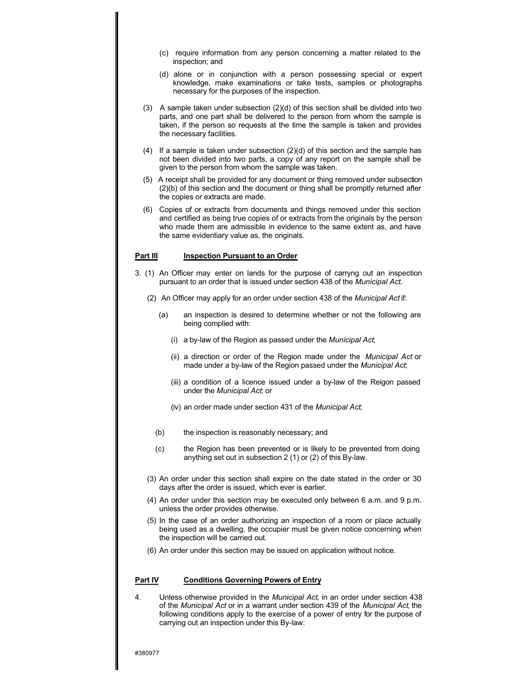- (c) require information from any person concerning a matter related to the inspection; and
- (d) alone or in conjunction with a person possessing special or expert knowledge, make examinations or take tests, samples or photographs necessary for the purposes of the inspection.
- (3) A sample taken under subsection  $(2)(d)$  of this section shall be divided into two parts, and one part shall be delivered to the person from whom the sample is taken, if the person so requests at the time the sample is taken and provides the necessary facilities.
- (4) If a sample is taken under subsection  $(2)(d)$  of this section and the sample has not been divided into two parts, a copy of any report on the sample shall be given to the person from whom the sample was taken.
- (5) A receipt shall be provided for any document or thing removed under subsection (2)(b) of this section and the document or thing shall be promptly returned after the copies or extracts are made.
- (6) Copies of or extracts from documents and things removed under this section and certified as being true copies of or extracts from the originals by the person who made them are admissible in evidence to the same extent as, and have the same evidentiary value as, the originals.

### **Part III** Inspection Pursuant to an Order

- 3. (1) An Officer may enter on lands for the purpose of carryng out an inspection pursuant to an order that is issued under section 438 of the *Municipal Act*.
	- (2) An Officer may apply for an order under section 438 of the *Municipal Act* if:
		- (a) an inspection is desired to determine whether or not the following are being complied with:
			- (i) a by-law of the Region as passed under the *Municipal Act*;
			- (ii) a direction or order of the Region made under the *Municipal Act* or made under a by-law of the Region passed under the *Municipal Act*;
			- (iii) a condition of a licence issued under a by-law of the Reigon passed under the *Municipal Act*; or
			- (iv) an order made under section 431 of the *Municipal Act*;
		- (b) the inspection is reasonably necessary; and
		- (c) the Region has been prevented or is likely to be prevented from doing anything set out in subsection 2 (1) or (2) of this By-law.
	- (3) An order under this section shall expire on the date stated in the order or 30 days after the order is issued, which ever is earlier.
	- (4) An order under this section may be executed only between 6 a.m. and 9 p.m. unless the order provides otherwise.
	- (5) In the case of an order authorizing an inspection of a room or place actually being used as a dwelling, the occupier must be given notice concerning when the inspection will be carried out.
	- (6) An order under this section may be issued on application without notice.

## **Part IV Conditions Governing Powers of Entry**

4. Unless otherwise provided in the *Municipal Act*, in an order under section 438 of the *Municipal Act* or in a warrant under section 439 of the *Municipal Act*, the following conditions apply to the exercise of a power of entry for the purpose of carrying out an inspection under this By-law: